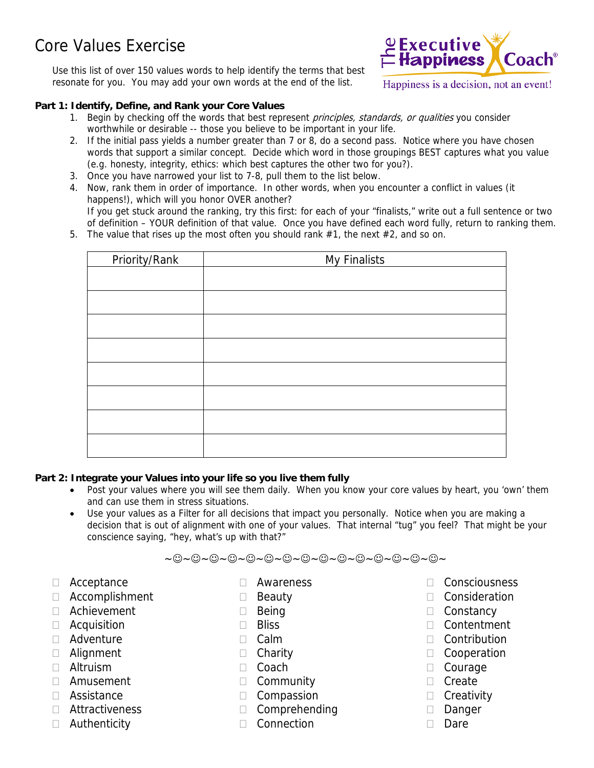## Core Values Exercise

Use this list of over 150 values words to help identify the terms that best resonate for you. You may add your own words at the end of the list.

## **Part 1: Identify, Define, and Rank your Core Values**

- 1. Begin by checking off the words that best represent *principles, standards, or qualities* you consider worthwhile or desirable -- those you believe to be important in your life.
- 2. If the initial pass yields a number greater than 7 or 8, do a second pass. Notice where you have chosen words that support a similar concept. Decide which word in those groupings BEST captures what you value (e.g. honesty, integrity, ethics: which best captures the other two for you?).
- 3. Once you have narrowed your list to 7-8, pull them to the list below.
- 4. Now, rank them in order of importance. In other words, when you encounter a conflict in values (it happens!), which will you honor OVER another? If you get stuck around the ranking, try this first: for each of your "finalists," write out a full sentence or two of definition – YOUR definition of that value. Once you have defined each word fully, return to ranking them.
- 5. The value that rises up the most often you should rank  $#1$ , the next  $#2$ , and so on.

| Priority/Rank | My Finalists |
|---------------|--------------|
|               |              |
|               |              |
|               |              |
|               |              |
|               |              |
|               |              |
|               |              |
|               |              |

## **Part 2: Integrate your Values into your life so you live them fully**

- Post your values where you will see them daily. When you know your core values by heart, you 'own' them and can use them in stress situations.
- Use your values as a Filter for all decisions that impact you personally. Notice when you are making a decision that is out of alignment with one of your values. That internal "tug" you feel? That might be your conscience saying, "hey, what's up with that?"

~☺~☺~☺~☺~☺~☺~☺~☺~☺~☺~☺~☺~☺~☺~☺~

- □ Acceptance
- Accomplishment
- Achievement
- Acquisition
- Adventure
- Alignment
- Altruism
- Amusement
- □ Assistance
- □ Attractiveness
- Authenticity
- Awareness
- □ Beauty
- $\Box$  Being
- D Bliss
- Calm
- □ Charity
- Coach
- □ Community
- 
- □ Compassion
- □ Comprehending
- □ Connection
- $\Box$  Consciousness
- □ Consideration
- $\Box$  Constancy
- □ Contentment
- $\Box$  Contribution
- □ Cooperation
- Courage
- □ Create
- □ Creativity
- Danger
- Dare



Happiness is a decision, not an event!